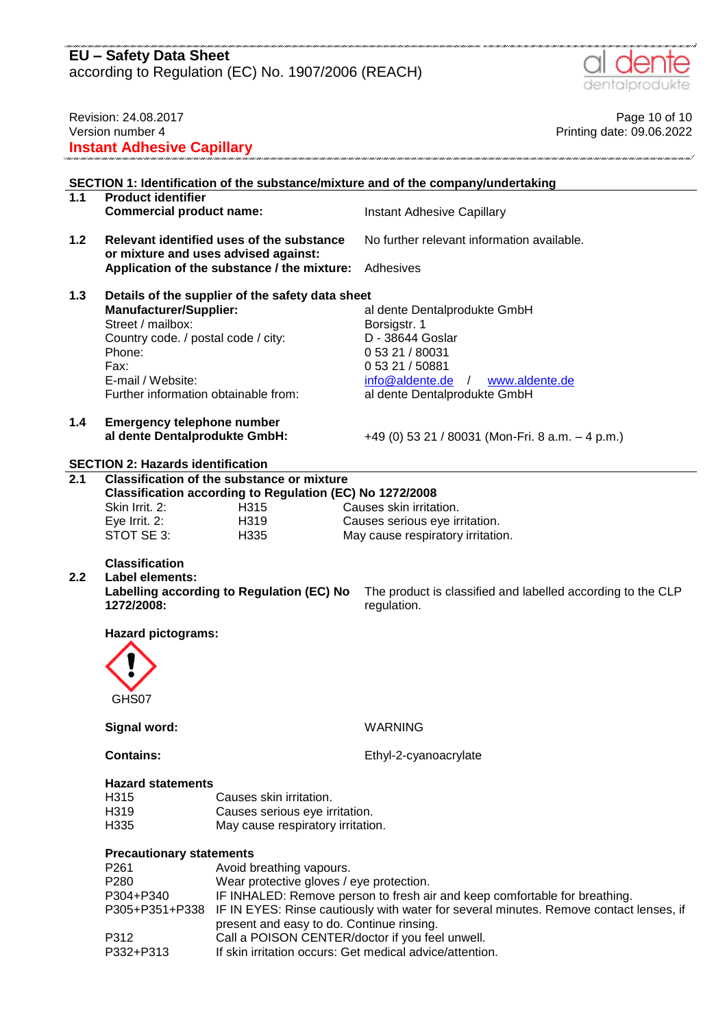according to Regulation (EC) No. 1907/2006 (REACH)



|                                                                                                                                                                                                                                     | Revision: 24.08.2017<br>Version number 4<br><b>Instant Adhesive Capillary</b>                                            |                                                                                   | Page 10 of 10<br>Printing date: 09.06.2022                                                                                                                                      |
|-------------------------------------------------------------------------------------------------------------------------------------------------------------------------------------------------------------------------------------|--------------------------------------------------------------------------------------------------------------------------|-----------------------------------------------------------------------------------|---------------------------------------------------------------------------------------------------------------------------------------------------------------------------------|
|                                                                                                                                                                                                                                     |                                                                                                                          |                                                                                   |                                                                                                                                                                                 |
|                                                                                                                                                                                                                                     |                                                                                                                          |                                                                                   | SECTION 1: Identification of the substance/mixture and of the company/undertaking                                                                                               |
| 1.1                                                                                                                                                                                                                                 | <b>Product identifier</b><br><b>Commercial product name:</b>                                                             |                                                                                   | Instant Adhesive Capillary                                                                                                                                                      |
| 1.2                                                                                                                                                                                                                                 |                                                                                                                          | Relevant identified uses of the substance<br>or mixture and uses advised against: | No further relevant information available.                                                                                                                                      |
|                                                                                                                                                                                                                                     |                                                                                                                          | Application of the substance / the mixture:                                       | Adhesives                                                                                                                                                                       |
| 1.3<br>Details of the supplier of the safety data sheet<br><b>Manufacturer/Supplier:</b><br>Street / mailbox:<br>Country code. / postal code / city:<br>Phone:<br>Fax:<br>E-mail / Website:<br>Further information obtainable from: |                                                                                                                          |                                                                                   | al dente Dentalprodukte GmbH<br>Borsigstr. 1<br>D - 38644 Goslar<br>0 53 21 / 80031<br>0 53 21 / 50881<br>$info@aldente.de$ /<br>www.aldente.de<br>al dente Dentalprodukte GmbH |
| 1.4                                                                                                                                                                                                                                 | <b>Emergency telephone number</b><br>al dente Dentalprodukte GmbH:                                                       |                                                                                   | +49 (0) 53 21 / 80031 (Mon-Fri. 8 a.m. - 4 p.m.)                                                                                                                                |
|                                                                                                                                                                                                                                     | <b>SECTION 2: Hazards identification</b>                                                                                 |                                                                                   |                                                                                                                                                                                 |
| $\overline{2.1}$                                                                                                                                                                                                                    |                                                                                                                          | <b>Classification of the substance or mixture</b>                                 |                                                                                                                                                                                 |
|                                                                                                                                                                                                                                     |                                                                                                                          | Classification according to Regulation (EC) No 1272/2008                          |                                                                                                                                                                                 |
|                                                                                                                                                                                                                                     | Skin Irrit. 2:                                                                                                           | H315                                                                              | Causes skin irritation.                                                                                                                                                         |
|                                                                                                                                                                                                                                     | Eye Irrit. 2:                                                                                                            | H319                                                                              | Causes serious eye irritation.                                                                                                                                                  |
|                                                                                                                                                                                                                                     | STOT SE 3:                                                                                                               | H335                                                                              | May cause respiratory irritation.                                                                                                                                               |
| 2.2                                                                                                                                                                                                                                 | <b>Classification</b><br><b>Label elements:</b><br>1272/2008:                                                            | Labelling according to Regulation (EC) No                                         | The product is classified and labelled according to the CLP<br>regulation.                                                                                                      |
|                                                                                                                                                                                                                                     | <b>Hazard pictograms:</b>                                                                                                |                                                                                   |                                                                                                                                                                                 |
|                                                                                                                                                                                                                                     | n<br>GHS07                                                                                                               |                                                                                   |                                                                                                                                                                                 |
|                                                                                                                                                                                                                                     | Signal word:                                                                                                             |                                                                                   | <b>WARNING</b>                                                                                                                                                                  |
|                                                                                                                                                                                                                                     | <b>Contains:</b>                                                                                                         |                                                                                   | Ethyl-2-cyanoacrylate                                                                                                                                                           |
|                                                                                                                                                                                                                                     | <b>Hazard statements</b>                                                                                                 |                                                                                   |                                                                                                                                                                                 |
|                                                                                                                                                                                                                                     | H315                                                                                                                     | Causes skin irritation.                                                           |                                                                                                                                                                                 |
|                                                                                                                                                                                                                                     | H319                                                                                                                     | Causes serious eye irritation.                                                    |                                                                                                                                                                                 |
|                                                                                                                                                                                                                                     | H335                                                                                                                     | May cause respiratory irritation.                                                 |                                                                                                                                                                                 |
|                                                                                                                                                                                                                                     | <b>Precautionary statements</b><br>P261<br>P280<br>P304+P340<br>P305+P351+P338                                           | Avoid breathing vapours.<br>Wear protective gloves / eye protection.              | IF INHALED: Remove person to fresh air and keep comfortable for breathing.<br>IF IN EYES: Rinse cautiously with water for several minutes. Remove contact lenses, if            |
|                                                                                                                                                                                                                                     | P312                                                                                                                     | present and easy to do. Continue rinsing.                                         |                                                                                                                                                                                 |
|                                                                                                                                                                                                                                     | Call a POISON CENTER/doctor if you feel unwell.<br>If skin irritation occurs: Get medical advice/attention.<br>P332+P313 |                                                                                   |                                                                                                                                                                                 |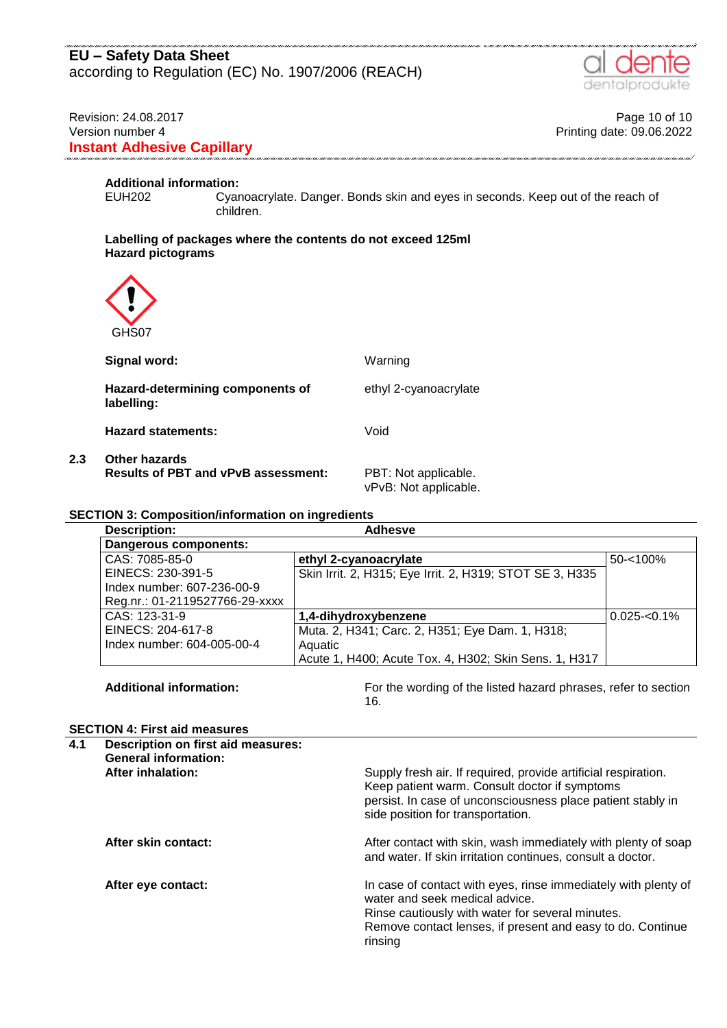# **EU – Safety Data Sheet** according to Regulation (EC) No. 1907/2006 (REACH)

### Revision: 24.08.2017 **Page 10 of 10** Version number 4 Printing date: 09.06.2022 **Instant Adhesive Capillary**

# **Additional information:**

Cyanoacrylate. Danger. Bonds skin and eyes in seconds. Keep out of the reach of children.

#### **Labelling of packages where the contents do not exceed 125ml Hazard pictograms**



**2.3 Other hazards**

| Signal word:                                                       | Warning                                       |
|--------------------------------------------------------------------|-----------------------------------------------|
| Hazard-determining components of<br>labelling:                     | ethyl 2-cyanoacrylate                         |
| <b>Hazard statements:</b>                                          | Void                                          |
| <b>Other hazards</b><br><b>Results of PBT and vPvB assessment:</b> | PBT: Not applicable.<br>vPvB: Not applicable. |

#### **SECTION 3: Composition/information on ingredients**

| <b>Description:</b>            | Adhesve                                                  |                 |  |  |  |
|--------------------------------|----------------------------------------------------------|-----------------|--|--|--|
| Dangerous components:          |                                                          |                 |  |  |  |
| CAS: 7085-85-0                 | ethyl 2-cyanoacrylate                                    | $50 - 100\%$    |  |  |  |
| EINECS: 230-391-5              | Skin Irrit. 2, H315; Eye Irrit. 2, H319; STOT SE 3, H335 |                 |  |  |  |
| Index number: 607-236-00-9     |                                                          |                 |  |  |  |
| Reg.nr.: 01-2119527766-29-xxxx |                                                          |                 |  |  |  |
| CAS: 123-31-9                  | 1,4-dihydroxybenzene                                     | $0.025 - 0.1\%$ |  |  |  |
| EINECS: 204-617-8              | Muta. 2, H341; Carc. 2, H351; Eye Dam. 1, H318;          |                 |  |  |  |
| Index number: 604-005-00-4     | Aquatic                                                  |                 |  |  |  |
|                                | Acute 1, H400; Acute Tox. 4, H302; Skin Sens. 1, H317    |                 |  |  |  |

Additional information: **For the wording of the listed hazard phrases, refer to section** 16.

#### **SECTION 4: First aid measures**

| 4.1 | Description on first aid measures:<br><b>General information:</b> |                                                                                                                                                                                                                               |  |  |  |
|-----|-------------------------------------------------------------------|-------------------------------------------------------------------------------------------------------------------------------------------------------------------------------------------------------------------------------|--|--|--|
|     | After inhalation:                                                 | Supply fresh air. If required, provide artificial respiration.<br>Keep patient warm. Consult doctor if symptoms<br>persist. In case of unconsciousness place patient stably in<br>side position for transportation.           |  |  |  |
|     | After skin contact:                                               | After contact with skin, wash immediately with plenty of soap<br>and water. If skin irritation continues, consult a doctor.                                                                                                   |  |  |  |
|     | After eye contact:                                                | In case of contact with eyes, rinse immediately with plenty of<br>water and seek medical advice.<br>Rinse cautiously with water for several minutes.<br>Remove contact lenses, if present and easy to do. Continue<br>rinsing |  |  |  |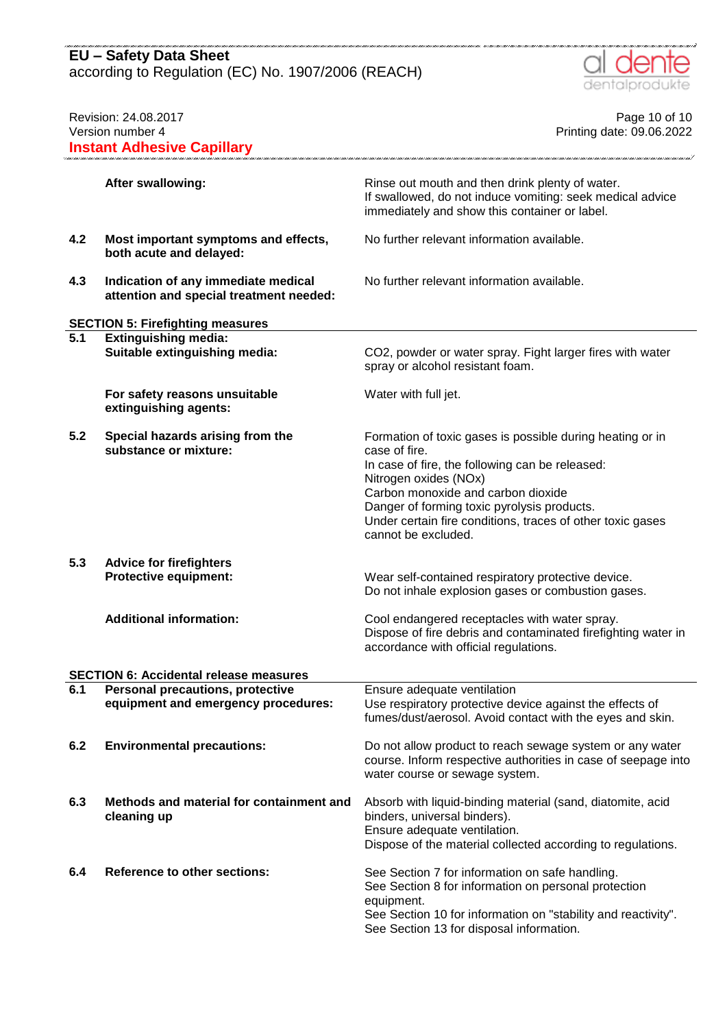according to Regulation (EC) No. 1907/2006 (REACH)



| Revision: 24.08.2017<br>Version number 4<br><b>Instant Adhesive Capillary</b> |                                                                                | Page 10 of 10<br>Printing date: 09.06.2022                                                                                                                                                                                                                                                                                       |
|-------------------------------------------------------------------------------|--------------------------------------------------------------------------------|----------------------------------------------------------------------------------------------------------------------------------------------------------------------------------------------------------------------------------------------------------------------------------------------------------------------------------|
|                                                                               | After swallowing:                                                              | Rinse out mouth and then drink plenty of water.<br>If swallowed, do not induce vomiting: seek medical advice<br>immediately and show this container or label.                                                                                                                                                                    |
| 4.2                                                                           | Most important symptoms and effects,<br>both acute and delayed:                | No further relevant information available.                                                                                                                                                                                                                                                                                       |
| 4.3                                                                           | Indication of any immediate medical<br>attention and special treatment needed: | No further relevant information available.                                                                                                                                                                                                                                                                                       |
|                                                                               | <b>SECTION 5: Firefighting measures</b>                                        |                                                                                                                                                                                                                                                                                                                                  |
| 5.1                                                                           | <b>Extinguishing media:</b><br>Suitable extinguishing media:                   | CO2, powder or water spray. Fight larger fires with water<br>spray or alcohol resistant foam.                                                                                                                                                                                                                                    |
|                                                                               | For safety reasons unsuitable<br>extinguishing agents:                         | Water with full jet.                                                                                                                                                                                                                                                                                                             |
| 5.2                                                                           | Special hazards arising from the<br>substance or mixture:                      | Formation of toxic gases is possible during heating or in<br>case of fire.<br>In case of fire, the following can be released:<br>Nitrogen oxides (NOx)<br>Carbon monoxide and carbon dioxide<br>Danger of forming toxic pyrolysis products.<br>Under certain fire conditions, traces of other toxic gases<br>cannot be excluded. |
| 5.3                                                                           | <b>Advice for firefighters</b><br><b>Protective equipment:</b>                 | Wear self-contained respiratory protective device.<br>Do not inhale explosion gases or combustion gases.                                                                                                                                                                                                                         |
|                                                                               | <b>Additional information:</b>                                                 | Cool endangered receptacles with water spray.<br>Dispose of fire debris and contaminated firefighting water in<br>accordance with official regulations.                                                                                                                                                                          |
|                                                                               | <b>SECTION 6: Accidental release measures</b>                                  |                                                                                                                                                                                                                                                                                                                                  |
| 6.1                                                                           | Personal precautions, protective<br>equipment and emergency procedures:        | Ensure adequate ventilation<br>Use respiratory protective device against the effects of<br>fumes/dust/aerosol. Avoid contact with the eyes and skin.                                                                                                                                                                             |
| 6.2                                                                           | <b>Environmental precautions:</b>                                              | Do not allow product to reach sewage system or any water<br>course. Inform respective authorities in case of seepage into<br>water course or sewage system.                                                                                                                                                                      |
| 6.3                                                                           | Methods and material for containment and<br>cleaning up                        | Absorb with liquid-binding material (sand, diatomite, acid<br>binders, universal binders).<br>Ensure adequate ventilation.<br>Dispose of the material collected according to regulations.                                                                                                                                        |
| 6.4                                                                           | <b>Reference to other sections:</b>                                            | See Section 7 for information on safe handling.<br>See Section 8 for information on personal protection<br>equipment.<br>See Section 10 for information on "stability and reactivity".<br>See Section 13 for disposal information.                                                                                               |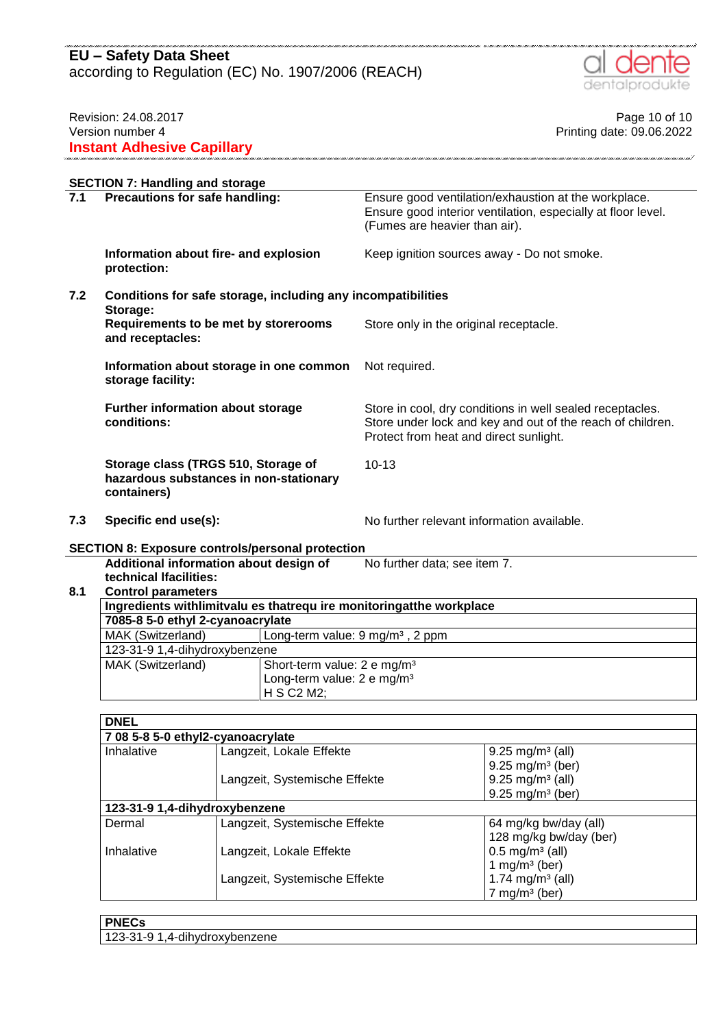according to Regulation (EC) No. 1907/2006 (REACH)



## Revision: 24.08.2017 **Page 10 of 10** Version number 4 Printing date: 09.06.2022 **Instant Adhesive Capillary**

|     | <b>SECTION 7: Handling and storage</b>                                                       |                                                                                                                                                                   |  |
|-----|----------------------------------------------------------------------------------------------|-------------------------------------------------------------------------------------------------------------------------------------------------------------------|--|
| 7.1 | Precautions for safe handling:                                                               | Ensure good ventilation/exhaustion at the workplace.<br>Ensure good interior ventilation, especially at floor level.<br>(Fumes are heavier than air).             |  |
|     | Information about fire- and explosion<br>protection:                                         | Keep ignition sources away - Do not smoke.                                                                                                                        |  |
| 7.2 | Conditions for safe storage, including any incompatibilities<br>Storage:                     |                                                                                                                                                                   |  |
|     | Requirements to be met by storerooms<br>and receptacles:                                     | Store only in the original receptacle.                                                                                                                            |  |
|     | Information about storage in one common<br>storage facility:                                 | Not required.                                                                                                                                                     |  |
|     | Further information about storage<br>conditions:                                             | Store in cool, dry conditions in well sealed receptacles.<br>Store under lock and key and out of the reach of children.<br>Protect from heat and direct sunlight. |  |
|     | Storage class (TRGS 510, Storage of<br>hazardous substances in non-stationary<br>containers) | $10 - 13$                                                                                                                                                         |  |
| 7.3 | Specific end use(s):                                                                         | No further relevant information available.                                                                                                                        |  |

.<br>1990 - 1990 - 1990 - 1990 - 1990 - 1990 - 1991 - 1991 - 1991 - 1991 - 1991 - 1991 - 1991 - 1991 - 1991 - 199

# **SECTION 8: Exposure controls/personal protection**

|     | <u>ULUTTUR 0. LADUSUI 6 CUITUUS/DEI SUITUI DI ULECHUIT</u>              |                                             |                              |
|-----|-------------------------------------------------------------------------|---------------------------------------------|------------------------------|
|     | Additional information about design of                                  |                                             | No further data; see item 7. |
|     | technical Ifacilities:                                                  |                                             |                              |
| 8.1 | <b>Control parameters</b>                                               |                                             |                              |
|     | Ingredients with limit valu es that require monitoring at the workplace |                                             |                              |
|     | 7085-8 5-0 ethyl 2-cyanoacrylate                                        |                                             |                              |
|     | MAK (Switzerland)                                                       | Long-term value: $9 \text{ mg/m}^3$ , 2 ppm |                              |
|     | 123-31-9 1,4-dihydroxybenzene                                           |                                             |                              |
|     | MAK (Switzerland)                                                       | Short-term value: 2 e mg/m <sup>3</sup>     |                              |
|     |                                                                         |                                             |                              |

Long-term value: 2 e mg/m<sup>3</sup>

H S C2 M2;

| <b>DNEL</b> |                                   |                                |
|-------------|-----------------------------------|--------------------------------|
|             | 7 08 5-8 5-0 ethyl2-cyanoacrylate |                                |
| Inhalative  | Langzeit, Lokale Effekte          | $9.25 \text{ mg/m}^3$ (all)    |
|             |                                   | $9.25 \text{ mg/m}^3$ (ber)    |
|             | Langzeit, Systemische Effekte     | $9.25 \text{ mg/m}^3$ (all)    |
|             |                                   | $9.25 \,\mathrm{mg/m^3}$ (ber) |
|             | 123-31-9 1,4-dihydroxybenzene     |                                |
| Dermal      | Langzeit, Systemische Effekte     | 64 mg/kg bw/day (all)          |
|             |                                   | 128 mg/kg bw/day (ber)         |
| Inhalative  | Langzeit, Lokale Effekte          | $0.5 \,\mathrm{mg/m^3}$ (all)  |
|             |                                   | 1 mg/m <sup>3</sup> (ber)      |
|             | Langzeit, Systemische Effekte     | 1.74 mg/m <sup>3</sup> (all)   |
|             |                                   | $7$ mg/m <sup>3</sup> (ber)    |

| <b>PNFC</b><br>EUD.      |  |
|--------------------------|--|
| าenzene<br><br>.,,<br>`- |  |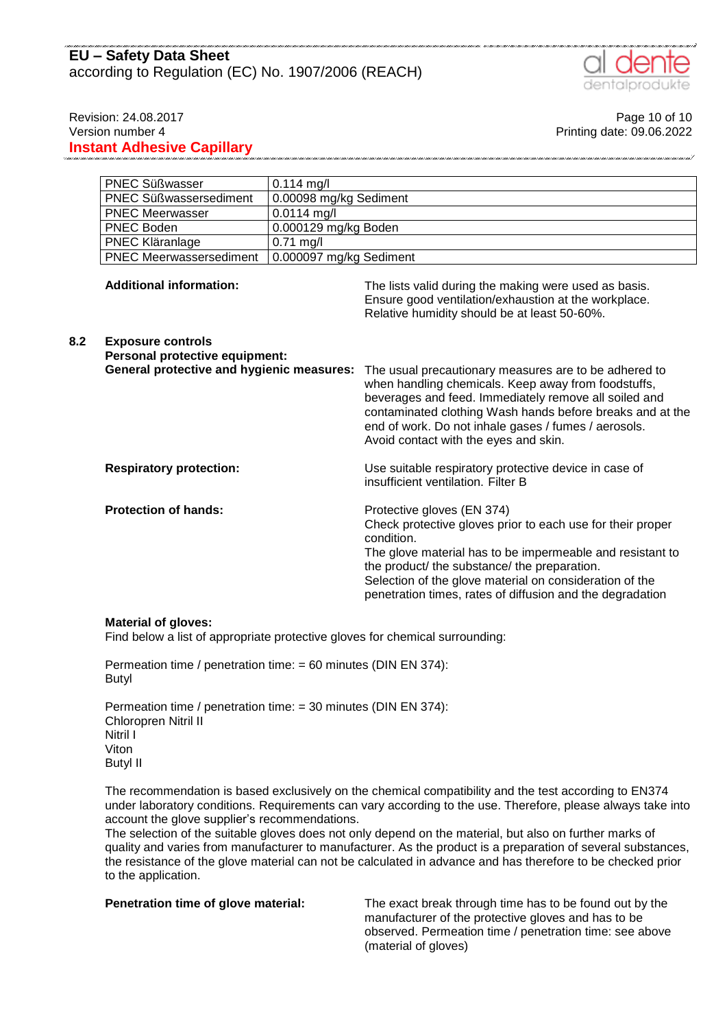# **EU – Safety Data Sheet** according to Regulation (EC) No. 1907/2006 (REACH)



Revision: 24.08.2017 **Page 10 of 10** Version number 4 Printing date: 09.06.2022 **Instant Adhesive Capillary**

|     | <b>PNEC Süßwasser</b>                                                                                   | $0.114$ mg/l            |                                                                                                                                                                                                                                                                                                                                             |
|-----|---------------------------------------------------------------------------------------------------------|-------------------------|---------------------------------------------------------------------------------------------------------------------------------------------------------------------------------------------------------------------------------------------------------------------------------------------------------------------------------------------|
|     | <b>PNEC Süßwassersediment</b><br>0.00098 mg/kg Sediment                                                 |                         |                                                                                                                                                                                                                                                                                                                                             |
|     | <b>PNEC Meerwasser</b>                                                                                  | $0.0114$ mg/l           |                                                                                                                                                                                                                                                                                                                                             |
|     | <b>PNEC Boden</b>                                                                                       | 0.000129 mg/kg Boden    |                                                                                                                                                                                                                                                                                                                                             |
|     | $0.71$ mg/l<br>PNEC Kläranlage                                                                          |                         |                                                                                                                                                                                                                                                                                                                                             |
|     | <b>PNEC Meerwassersediment</b>                                                                          | 0.000097 mg/kg Sediment |                                                                                                                                                                                                                                                                                                                                             |
|     | <b>Additional information:</b>                                                                          |                         | The lists valid during the making were used as basis.<br>Ensure good ventilation/exhaustion at the workplace.<br>Relative humidity should be at least 50-60%.                                                                                                                                                                               |
| 8.2 | <b>Exposure controls</b><br>Personal protective equipment:<br>General protective and hygienic measures: |                         | The usual precautionary measures are to be adhered to<br>when handling chemicals. Keep away from foodstuffs,<br>beverages and feed. Immediately remove all soiled and<br>contaminated clothing Wash hands before breaks and at the<br>end of work. Do not inhale gases / fumes / aerosols.<br>Avoid contact with the eyes and skin.         |
|     | <b>Respiratory protection:</b>                                                                          |                         | Use suitable respiratory protective device in case of<br>insufficient ventilation. Filter B                                                                                                                                                                                                                                                 |
|     | <b>Protection of hands:</b>                                                                             |                         | Protective gloves (EN 374)<br>Check protective gloves prior to each use for their proper<br>condition.<br>The glove material has to be impermeable and resistant to<br>the product/ the substance/ the preparation.<br>Selection of the glove material on consideration of the<br>penetration times, rates of diffusion and the degradation |

#### **Material of gloves:**

Find below a list of appropriate protective gloves for chemical surrounding:

Permeation time / penetration time: = 60 minutes (DIN EN 374): Butyl

Permeation time / penetration time: = 30 minutes (DIN EN 374): Chloropren Nitril II Nitril I Viton Butyl II

The recommendation is based exclusively on the chemical compatibility and the test according to EN374 under laboratory conditions. Requirements can vary according to the use. Therefore, please always take into account the glove supplier's recommendations.

The selection of the suitable gloves does not only depend on the material, but also on further marks of quality and varies from manufacturer to manufacturer. As the product is a preparation of several substances, the resistance of the glove material can not be calculated in advance and has therefore to be checked prior to the application.

**Penetration time of glove material:** The exact break through time has to be found out by the manufacturer of the protective gloves and has to be observed. Permeation time / penetration time: see above (material of gloves)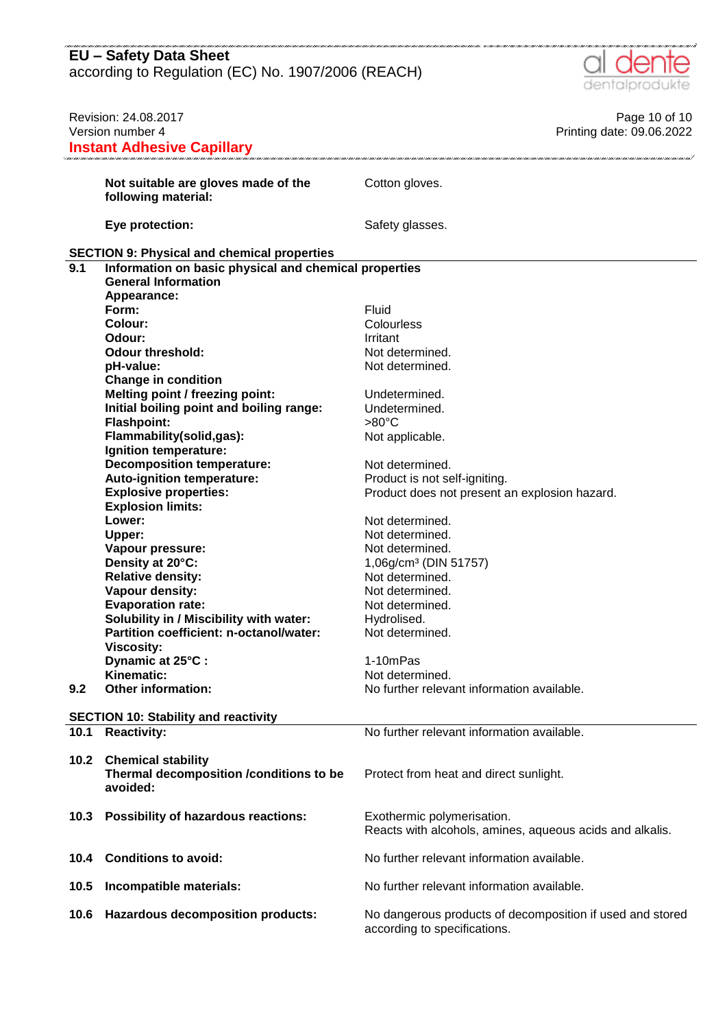according to Regulation (EC) No. 1907/2006 (REACH)

.<br>In Canal Canal Canal Canal Canal Canal Canal Canal Canal Canal Canal Canal Canal Canal Canal Canal Canal Canal



|      | Revision: 24.08.2017                                  | Page 10 of 10                                             |
|------|-------------------------------------------------------|-----------------------------------------------------------|
|      | Version number 4                                      | Printing date: 09.06.2022                                 |
|      | <b>Instant Adhesive Capillary</b>                     |                                                           |
|      |                                                       |                                                           |
|      | Not suitable are gloves made of the                   | Cotton gloves.                                            |
|      | following material:                                   |                                                           |
|      |                                                       |                                                           |
|      | Eye protection:                                       | Safety glasses.                                           |
|      |                                                       |                                                           |
|      | <b>SECTION 9: Physical and chemical properties</b>    |                                                           |
| 9.1  | Information on basic physical and chemical properties |                                                           |
|      | <b>General Information</b>                            |                                                           |
|      | Appearance:                                           |                                                           |
|      | Form:                                                 | Fluid                                                     |
|      | <b>Colour:</b>                                        | Colourless                                                |
|      | Odour:                                                | Irritant                                                  |
|      | <b>Odour threshold:</b>                               | Not determined.                                           |
|      | pH-value:                                             | Not determined.                                           |
|      | <b>Change in condition</b>                            |                                                           |
|      | Melting point / freezing point:                       | Undetermined.                                             |
|      | Initial boiling point and boiling range:              | Undetermined.                                             |
|      | <b>Flashpoint:</b>                                    | $>80^{\circ}$ C                                           |
|      | Flammability(solid,gas):                              | Not applicable.                                           |
|      | Ignition temperature:                                 |                                                           |
|      | <b>Decomposition temperature:</b>                     | Not determined.                                           |
|      | Auto-ignition temperature:                            | Product is not self-igniting.                             |
|      | <b>Explosive properties:</b>                          | Product does not present an explosion hazard.             |
|      | <b>Explosion limits:</b>                              |                                                           |
|      | Lower:                                                | Not determined.                                           |
|      | Upper:                                                | Not determined.                                           |
|      | Vapour pressure:                                      | Not determined.                                           |
|      | Density at 20°C:                                      | 1,06g/cm <sup>3</sup> (DIN 51757)                         |
|      | <b>Relative density:</b>                              | Not determined.                                           |
|      | Vapour density:                                       | Not determined.                                           |
|      | <b>Evaporation rate:</b>                              | Not determined.                                           |
|      | Solubility in / Miscibility with water:               | Hydrolised.                                               |
|      | Partition coefficient: n-octanol/water:               | Not determined.                                           |
|      | Viscosity:                                            |                                                           |
|      | Dynamic at 25°C:                                      | 1-10mPas                                                  |
|      | Kinematic:                                            | Not determined.                                           |
| 9.2  | <b>Other information:</b>                             | No further relevant information available.                |
|      |                                                       |                                                           |
|      | <b>SECTION 10: Stability and reactivity</b>           |                                                           |
| 10.1 | <b>Reactivity:</b>                                    | No further relevant information available.                |
|      |                                                       |                                                           |
| 10.2 | <b>Chemical stability</b>                             |                                                           |
|      | Thermal decomposition /conditions to be               | Protect from heat and direct sunlight.                    |
|      | avoided:                                              |                                                           |
|      |                                                       |                                                           |
| 10.3 | Possibility of hazardous reactions:                   | Exothermic polymerisation.                                |
|      |                                                       | Reacts with alcohols, amines, aqueous acids and alkalis.  |
|      |                                                       |                                                           |
| 10.4 | <b>Conditions to avoid:</b>                           | No further relevant information available.                |
|      |                                                       |                                                           |
| 10.5 | Incompatible materials:                               | No further relevant information available.                |
|      |                                                       |                                                           |
| 10.6 | <b>Hazardous decomposition products:</b>              | No dangerous products of decomposition if used and stored |
|      |                                                       | according to specifications.                              |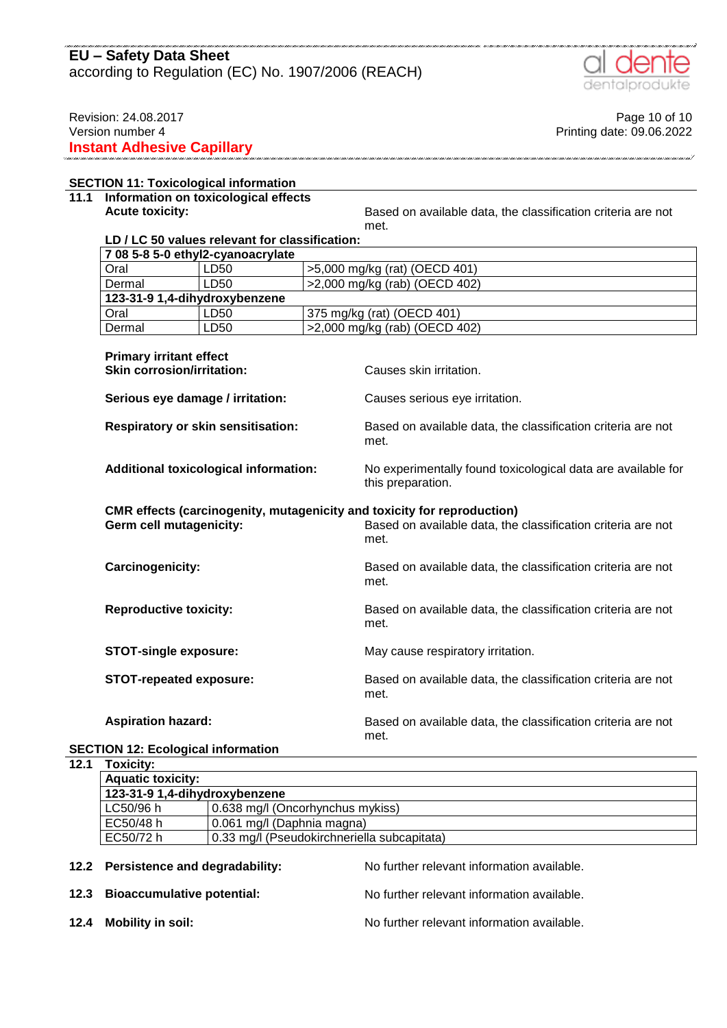according to Regulation (EC) No. 1907/2006 (REACH)



Revision: 24.08.2017 **Page 10 of 10** Version number 4 Printing date: 09.06.2022 **Instant Adhesive Capillary**

## **SECTION 11: Toxicological information**

# **11.1 Information on toxicological effects**

**Acute toxicity: Based on available data, the classification criteria are not** met.

## **LD / LC 50 values relevant for classification:**

| 708 5-8 5-0 ethyl2-cyanoacrylate                                                                   |                                              |                                                                                   |  |  |
|----------------------------------------------------------------------------------------------------|----------------------------------------------|-----------------------------------------------------------------------------------|--|--|
| Oral                                                                                               | LD50                                         | >5,000 mg/kg (rat) (OECD 401)                                                     |  |  |
| LD50<br>Dermal                                                                                     |                                              | >2,000 mg/kg (rab) (OECD 402)                                                     |  |  |
| 123-31-9 1,4-dihydroxybenzene                                                                      |                                              |                                                                                   |  |  |
| Oral                                                                                               | LD50                                         | 375 mg/kg (rat) (OECD 401)                                                        |  |  |
| Dermal                                                                                             | LD50                                         | >2,000 mg/kg (rab) (OECD 402)                                                     |  |  |
| <b>Primary irritant effect</b><br><b>Skin corrosion/irritation:</b>                                |                                              | Causes skin irritation.                                                           |  |  |
| Serious eye damage / irritation:                                                                   |                                              | Causes serious eye irritation.                                                    |  |  |
|                                                                                                    | <b>Respiratory or skin sensitisation:</b>    | Based on available data, the classification criteria are not<br>met.              |  |  |
|                                                                                                    | <b>Additional toxicological information:</b> | No experimentally found toxicological data are available for<br>this preparation. |  |  |
| CMR effects (carcinogenity, mutagenicity and toxicity for reproduction)<br>Germ cell mutagenicity: |                                              | Based on available data, the classification criteria are not<br>met.              |  |  |
| Carcinogenicity:                                                                                   |                                              | Based on available data, the classification criteria are not<br>met.              |  |  |
| <b>Reproductive toxicity:</b>                                                                      |                                              | Based on available data, the classification criteria are not<br>met.              |  |  |
| <b>STOT-single exposure:</b>                                                                       |                                              | May cause respiratory irritation.                                                 |  |  |
| <b>STOT-repeated exposure:</b>                                                                     |                                              | Based on available data, the classification criteria are not<br>met.              |  |  |
| <b>Aspiration hazard:</b>                                                                          |                                              | Based on available data, the classification criteria are not<br>met.              |  |  |

## **SECTION 12: Ecological information**

**12.1 Toxicity:**

| <b>Aquatic toxicity:</b>      |                                             |  |  |  |  |
|-------------------------------|---------------------------------------------|--|--|--|--|
| 123-31-9 1,4-dihydroxybenzene |                                             |  |  |  |  |
| LC50/96 h                     | 0.638 mg/l (Oncorhynchus mykiss)            |  |  |  |  |
| EC50/48 h                     | 0.061 mg/l (Daphnia magna)                  |  |  |  |  |
| EC50/72 h                     | 0.33 mg/l (Pseudokirchneriella subcapitata) |  |  |  |  |

| 12.2 Persistence and degradability: | No further relevant information available. |
|-------------------------------------|--------------------------------------------|
| 12.3 Bioaccumulative potential:     | No further relevant information available. |
| 12.4 Mobility in soil:              | No further relevant information available. |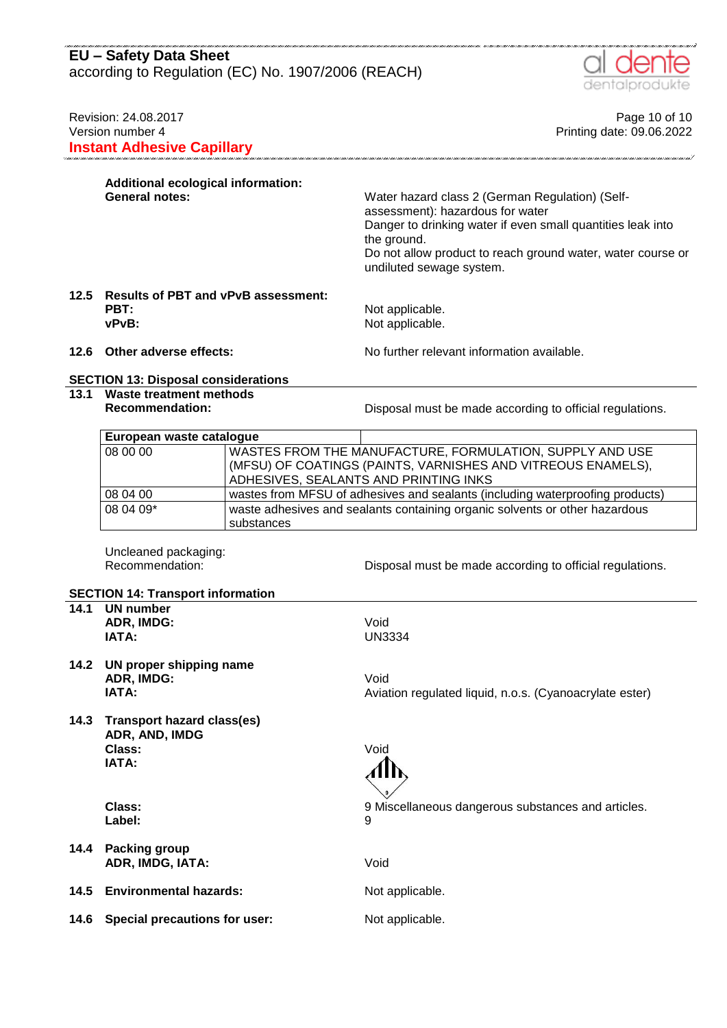according to Regulation (EC) No. 1907/2006 (REACH)



| Revision: 24.08.2017<br>Version number 4<br><b>Instant Adhesive Capillary</b> |                                                                                     |            | Page 10 of 10<br>Printing date: 09.06.2022                                                                                                                                                                                                                   |
|-------------------------------------------------------------------------------|-------------------------------------------------------------------------------------|------------|--------------------------------------------------------------------------------------------------------------------------------------------------------------------------------------------------------------------------------------------------------------|
|                                                                               | Additional ecological information:<br><b>General notes:</b>                         |            | Water hazard class 2 (German Regulation) (Self-<br>assessment): hazardous for water<br>Danger to drinking water if even small quantities leak into<br>the ground.<br>Do not allow product to reach ground water, water course or<br>undiluted sewage system. |
|                                                                               | 12.5 Results of PBT and vPvB assessment:<br>PBT:<br>vPvB:                           |            | Not applicable.<br>Not applicable.                                                                                                                                                                                                                           |
| 12.6                                                                          | Other adverse effects:                                                              |            | No further relevant information available.                                                                                                                                                                                                                   |
|                                                                               | <b>SECTION 13: Disposal considerations</b>                                          |            |                                                                                                                                                                                                                                                              |
| 13.1                                                                          | <b>Waste treatment methods</b><br><b>Recommendation:</b>                            |            | Disposal must be made according to official regulations.                                                                                                                                                                                                     |
|                                                                               | European waste catalogue                                                            |            |                                                                                                                                                                                                                                                              |
|                                                                               | 08 00 00                                                                            |            | WASTES FROM THE MANUFACTURE, FORMULATION, SUPPLY AND USE<br>(MFSU) OF COATINGS (PAINTS, VARNISHES AND VITREOUS ENAMELS),<br>ADHESIVES, SEALANTS AND PRINTING INKS                                                                                            |
|                                                                               | 08 04 00                                                                            |            | wastes from MFSU of adhesives and sealants (including waterproofing products)                                                                                                                                                                                |
|                                                                               | 08 04 09*                                                                           | substances | waste adhesives and sealants containing organic solvents or other hazardous                                                                                                                                                                                  |
|                                                                               | Uncleaned packaging:<br>Recommendation:<br><b>SECTION 14: Transport information</b> |            | Disposal must be made according to official regulations.                                                                                                                                                                                                     |
| 14.1                                                                          | <b>UN</b> number<br>ADR, IMDG:<br>IATA:                                             |            | Void<br><b>UN3334</b>                                                                                                                                                                                                                                        |
| 14.2                                                                          | UN proper shipping name<br>ADR, IMDG:<br>IATA:                                      |            | Void<br>Aviation regulated liquid, n.o.s. (Cyanoacrylate ester)                                                                                                                                                                                              |
| 14.3                                                                          | <b>Transport hazard class(es)</b><br>ADR, AND, IMDG<br>Class:<br>IATA:              |            | Void                                                                                                                                                                                                                                                         |
|                                                                               | Class:<br>Label:                                                                    |            | 9 Miscellaneous dangerous substances and articles.<br>9                                                                                                                                                                                                      |
| 14.4                                                                          | <b>Packing group</b><br>ADR, IMDG, IATA:                                            |            | Void                                                                                                                                                                                                                                                         |
| 14.5                                                                          | <b>Environmental hazards:</b>                                                       |            | Not applicable.                                                                                                                                                                                                                                              |
| 14.6                                                                          | Special precautions for user:                                                       |            | Not applicable.                                                                                                                                                                                                                                              |
|                                                                               |                                                                                     |            |                                                                                                                                                                                                                                                              |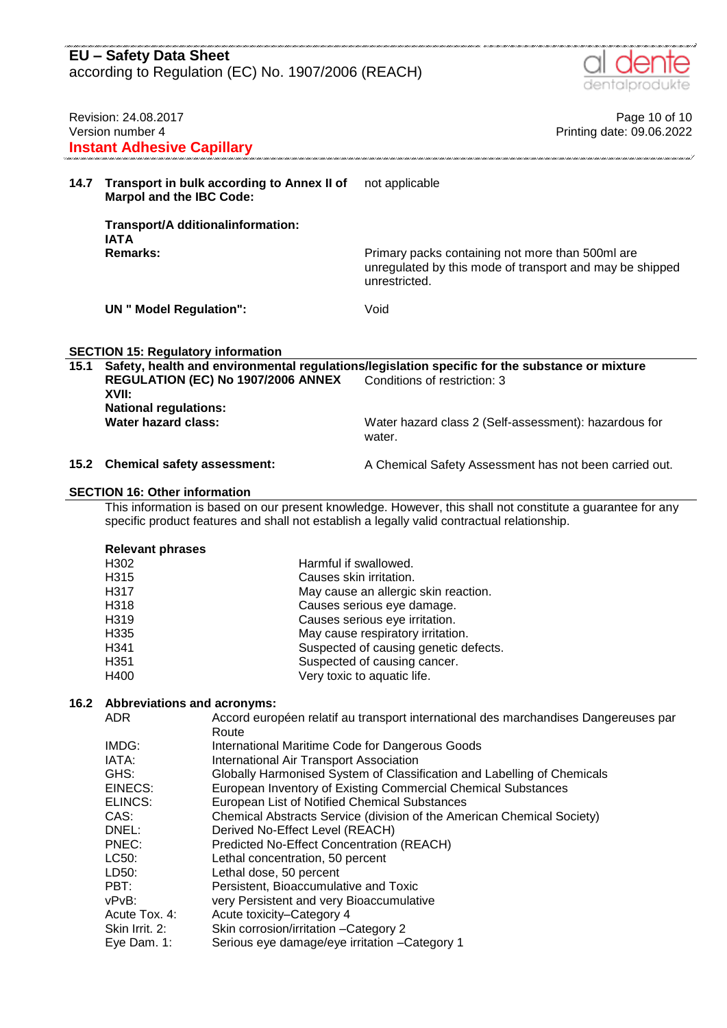| <b>EU - Safety Data Sheet</b> |                                                                                                                                                                                                                            |                                                                                                           |                                                                                                                                                                                                           |                                            |  |  |
|-------------------------------|----------------------------------------------------------------------------------------------------------------------------------------------------------------------------------------------------------------------------|-----------------------------------------------------------------------------------------------------------|-----------------------------------------------------------------------------------------------------------------------------------------------------------------------------------------------------------|--------------------------------------------|--|--|
|                               | according to Regulation (EC) No. 1907/2006 (REACH)<br>dentalprodukte                                                                                                                                                       |                                                                                                           |                                                                                                                                                                                                           |                                            |  |  |
|                               | Revision: 24.08.2017<br>Version number 4                                                                                                                                                                                   |                                                                                                           |                                                                                                                                                                                                           | Page 10 of 10<br>Printing date: 09.06.2022 |  |  |
|                               | <b>Instant Adhesive Capillary</b>                                                                                                                                                                                          |                                                                                                           |                                                                                                                                                                                                           |                                            |  |  |
| 14.7                          | Transport in bulk according to Annex II of<br><b>Marpol and the IBC Code:</b>                                                                                                                                              |                                                                                                           | not applicable                                                                                                                                                                                            |                                            |  |  |
|                               | Transport/A dditionalinformation:<br><b>IATA</b>                                                                                                                                                                           |                                                                                                           |                                                                                                                                                                                                           |                                            |  |  |
|                               | <b>Remarks:</b>                                                                                                                                                                                                            |                                                                                                           | Primary packs containing not more than 500ml are<br>unregulated by this mode of transport and may be shipped<br>unrestricted.                                                                             |                                            |  |  |
|                               | <b>UN</b> " Model Regulation":                                                                                                                                                                                             |                                                                                                           | Void                                                                                                                                                                                                      |                                            |  |  |
|                               |                                                                                                                                                                                                                            |                                                                                                           |                                                                                                                                                                                                           |                                            |  |  |
| 15.1                          | <b>SECTION 15: Regulatory information</b><br>Safety, health and environmental regulations/legislation specific for the substance or mixture<br>REGULATION (EC) No 1907/2006 ANNEX<br>Conditions of restriction: 3<br>XVII: |                                                                                                           |                                                                                                                                                                                                           |                                            |  |  |
|                               | <b>National regulations:</b><br><b>Water hazard class:</b>                                                                                                                                                                 |                                                                                                           | Water hazard class 2 (Self-assessment): hazardous for<br>water.                                                                                                                                           |                                            |  |  |
| 15.2                          | <b>Chemical safety assessment:</b>                                                                                                                                                                                         |                                                                                                           | A Chemical Safety Assessment has not been carried out.                                                                                                                                                    |                                            |  |  |
|                               | <b>SECTION 16: Other information</b>                                                                                                                                                                                       |                                                                                                           |                                                                                                                                                                                                           |                                            |  |  |
|                               |                                                                                                                                                                                                                            |                                                                                                           | This information is based on our present knowledge. However, this shall not constitute a guarantee for any<br>specific product features and shall not establish a legally valid contractual relationship. |                                            |  |  |
|                               | <b>Relevant phrases</b>                                                                                                                                                                                                    |                                                                                                           |                                                                                                                                                                                                           |                                            |  |  |
|                               | H302                                                                                                                                                                                                                       | Harmful if swallowed.                                                                                     |                                                                                                                                                                                                           |                                            |  |  |
|                               | H315<br>H317                                                                                                                                                                                                               | Causes skin irritation.                                                                                   | May cause an allergic skin reaction.                                                                                                                                                                      |                                            |  |  |
|                               | H318                                                                                                                                                                                                                       |                                                                                                           | Causes serious eye damage.                                                                                                                                                                                |                                            |  |  |
|                               | H319                                                                                                                                                                                                                       |                                                                                                           | Causes serious eye irritation.                                                                                                                                                                            |                                            |  |  |
|                               | H335                                                                                                                                                                                                                       |                                                                                                           | May cause respiratory irritation.                                                                                                                                                                         |                                            |  |  |
|                               | H341                                                                                                                                                                                                                       |                                                                                                           | Suspected of causing genetic defects.                                                                                                                                                                     |                                            |  |  |
|                               | H351<br>H400                                                                                                                                                                                                               | Suspected of causing cancer.<br>Very toxic to aquatic life.                                               |                                                                                                                                                                                                           |                                            |  |  |
| 16.2                          | <b>Abbreviations and acronyms:</b>                                                                                                                                                                                         |                                                                                                           |                                                                                                                                                                                                           |                                            |  |  |
|                               | <b>ADR</b>                                                                                                                                                                                                                 |                                                                                                           | Accord européen relatif au transport international des marchandises Dangereuses par                                                                                                                       |                                            |  |  |
|                               | IMDG:                                                                                                                                                                                                                      | Route                                                                                                     |                                                                                                                                                                                                           |                                            |  |  |
|                               | IATA:                                                                                                                                                                                                                      | International Maritime Code for Dangerous Goods<br>International Air Transport Association                |                                                                                                                                                                                                           |                                            |  |  |
|                               | GHS:                                                                                                                                                                                                                       | Globally Harmonised System of Classification and Labelling of Chemicals                                   |                                                                                                                                                                                                           |                                            |  |  |
|                               | EINECS:                                                                                                                                                                                                                    | European Inventory of Existing Commercial Chemical Substances                                             |                                                                                                                                                                                                           |                                            |  |  |
|                               | ELINCS:                                                                                                                                                                                                                    | European List of Notified Chemical Substances                                                             |                                                                                                                                                                                                           |                                            |  |  |
|                               | CAS:<br>DNEL:                                                                                                                                                                                                              | Chemical Abstracts Service (division of the American Chemical Society)<br>Derived No-Effect Level (REACH) |                                                                                                                                                                                                           |                                            |  |  |
|                               | PNEC:                                                                                                                                                                                                                      | Predicted No-Effect Concentration (REACH)                                                                 |                                                                                                                                                                                                           |                                            |  |  |
|                               | LC50:                                                                                                                                                                                                                      | Lethal concentration, 50 percent                                                                          |                                                                                                                                                                                                           |                                            |  |  |
|                               | LD50:                                                                                                                                                                                                                      | Lethal dose, 50 percent                                                                                   |                                                                                                                                                                                                           |                                            |  |  |
|                               | PBT:                                                                                                                                                                                                                       | Persistent, Bioaccumulative and Toxic                                                                     |                                                                                                                                                                                                           |                                            |  |  |
|                               | vPvB:<br>very Persistent and very Bioaccumulative<br>Acute Tox. 4:<br>Acute toxicity-Category 4                                                                                                                            |                                                                                                           |                                                                                                                                                                                                           |                                            |  |  |
|                               | Skin Irrit. 2:<br>Skin corrosion/irritation - Category 2                                                                                                                                                                   |                                                                                                           |                                                                                                                                                                                                           |                                            |  |  |
|                               | Eye Dam. 1:                                                                                                                                                                                                                | Serious eye damage/eye irritation - Category 1                                                            |                                                                                                                                                                                                           |                                            |  |  |